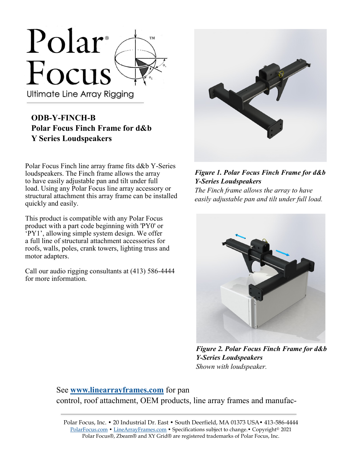

## **ODB-Y-FINCH-B Polar Focus Finch Frame for d&b Y Series Loudspeakers**

Polar Focus Finch line array frame fits d&b Y-Series loudspeakers. The Finch frame allows the array to have easily adjustable pan and tilt under full load. Using any Polar Focus line array accessory or structural attachment this array frame can be installed quickly and easily.

This product is compatible with any Polar Focus product with a part code beginning with 'PY0' or 'PY1', allowing simple system design. We offer a full line of structural attachment accessories for roofs, walls, poles, crank towers, lighting truss and motor adapters.

Call our audio rigging consultants at (413) 586-4444 for more information.



## *Figure 1. Polar Focus Finch Frame for d&b Y-Series Loudspeakers*

*The Finch frame allows the array to have easily adjustable pan and tilt under full load.*



*Figure 2. Polar Focus Finch Frame for d&b Y-Series Loudspeakers Shown with loudspeaker.*

See **[www.linearrayframes.com](http://www.linearrayframes.com)** for pan control, roof attachment, OEM products, line array frames and manufac-

Polar Focus, Inc. • 20 Industrial Dr. East • South Deerfield, MA 01373 USA• 413-586-4444 [PolarFocus.com](http://www.polarfocus.com) • [LineArrayFrames.com](http://www.linearrayframes.com) • Specifications subject to change.• Copyright© 2021 Polar Focus®, Zbeam® and XY Grid® are registered trademarks of Polar Focus, Inc.